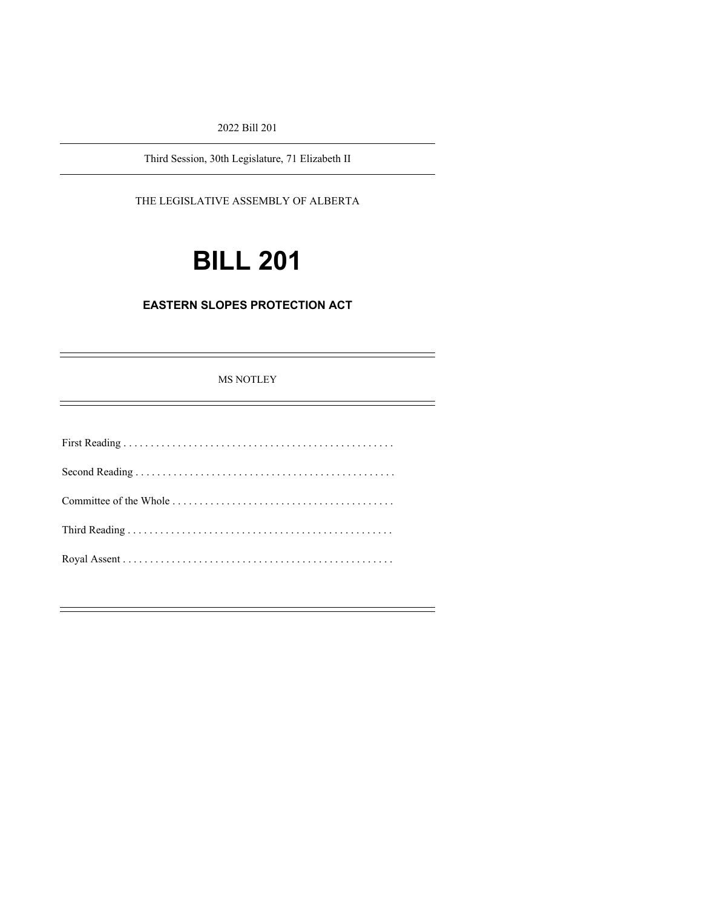2022 Bill 201

Third Session, 30th Legislature, 71 Elizabeth II

### THE LEGISLATIVE ASSEMBLY OF ALBERTA

# **BILL 201**

## **EASTERN SLOPES PROTECTION ACT**

MS NOTLEY

É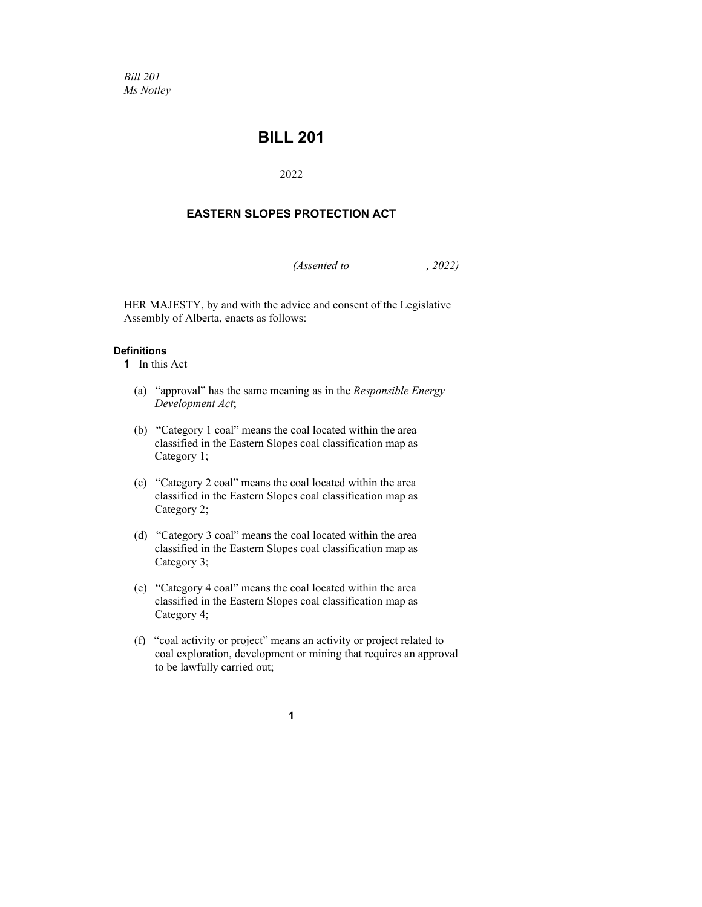*Bill 201 Ms Notley*

# **BILL 201**

2022

## **EASTERN SLOPES PROTECTION ACT**

*(Assented to , 2022)*

HER MAJESTY, by and with the advice and consent of the Legislative Assembly of Alberta, enacts as follows:

#### **Definitions**

- **1** In this Act
	- (a) "approval" has the same meaning as in the *Responsible Energy Development Act*;
	- (b) "Category 1 coal" means the coal located within the area classified in the Eastern Slopes coal classification map as Category 1;
	- (c) "Category 2 coal" means the coal located within the area classified in the Eastern Slopes coal classification map as Category 2;
	- (d) "Category 3 coal" means the coal located within the area classified in the Eastern Slopes coal classification map as Category 3;
	- (e) "Category 4 coal" means the coal located within the area classified in the Eastern Slopes coal classification map as Category 4;
	- (f) "coal activity or project" means an activity or project related to coal exploration, development or mining that requires an approval to be lawfully carried out;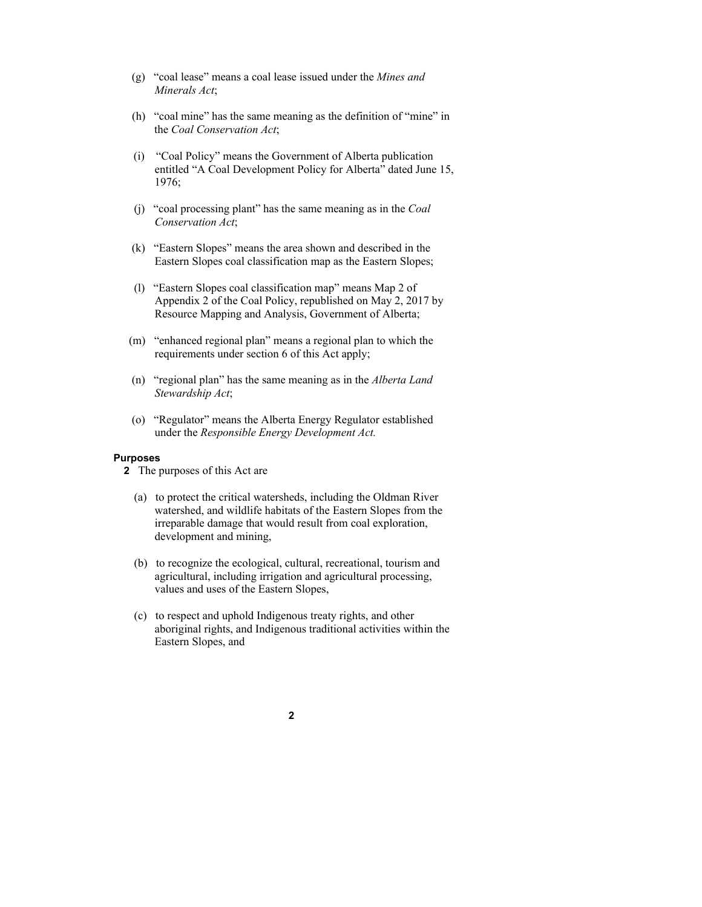- (g) "coal lease" means a coal lease issued under the *Mines and Minerals Act*;
- (h) "coal mine" has the same meaning as the definition of "mine" in the *Coal Conservation Act*;
- (i) "Coal Policy" means the Government of Alberta publication entitled "A Coal Development Policy for Alberta" dated June 15, 1976;
- (j) "coal processing plant" has the same meaning as in the *Coal Conservation Act*;
- (k) "Eastern Slopes" means the area shown and described in the Eastern Slopes coal classification map as the Eastern Slopes;
- (l) "Eastern Slopes coal classification map" means Map 2 of Appendix 2 of the Coal Policy, republished on May 2, 2017 by Resource Mapping and Analysis, Government of Alberta;
- (m) "enhanced regional plan" means a regional plan to which the requirements under section 6 of this Act apply;
- (n) "regional plan" has the same meaning as in the *Alberta Land Stewardship Act*;
- (o) "Regulator" means the Alberta Energy Regulator established under the *Responsible Energy Development Act.*

#### **Purposes**

- **2** The purposes of this Act are
	- (a) to protect the critical watersheds, including the Oldman River watershed, and wildlife habitats of the Eastern Slopes from the irreparable damage that would result from coal exploration, development and mining,
	- (b) to recognize the ecological, cultural, recreational, tourism and agricultural, including irrigation and agricultural processing, values and uses of the Eastern Slopes,
	- (c) to respect and uphold Indigenous treaty rights, and other aboriginal rights, and Indigenous traditional activities within the Eastern Slopes, and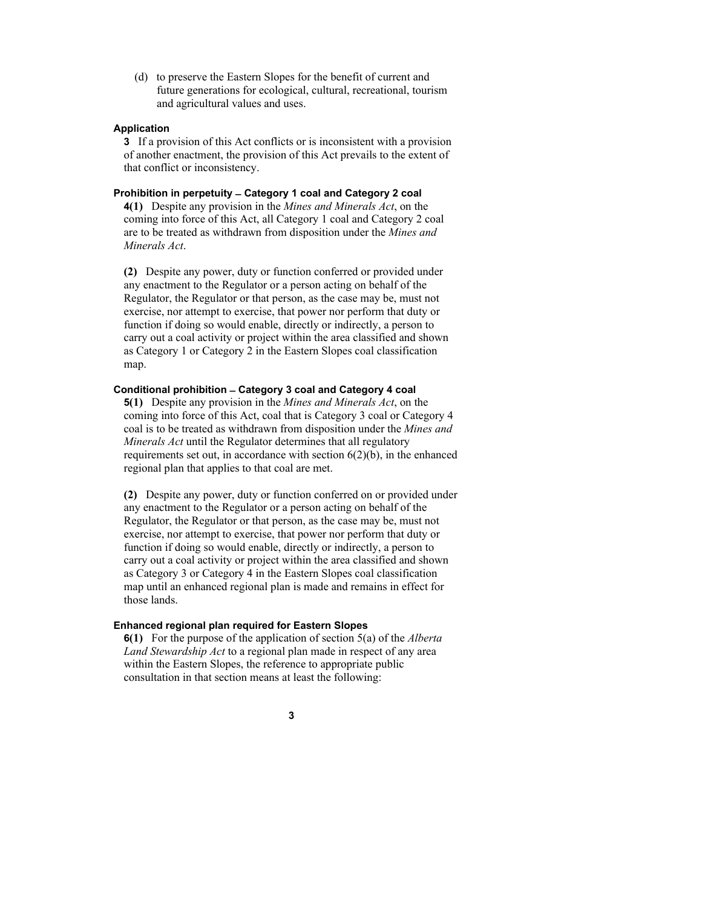(d) to preserve the Eastern Slopes for the benefit of current and future generations for ecological, cultural, recreational, tourism and agricultural values and uses.

#### **Application**

**3** If a provision of this Act conflicts or is inconsistent with a provision of another enactment, the provision of this Act prevails to the extent of that conflict or inconsistency.

#### **Prohibition in perpetuity ̶Category 1 coal and Category 2 coal**

**4(1)** Despite any provision in the *Mines and Minerals Act*, on the coming into force of this Act, all Category 1 coal and Category 2 coal are to be treated as withdrawn from disposition under the *Mines and Minerals Act*.

**(2)** Despite any power, duty or function conferred or provided under any enactment to the Regulator or a person acting on behalf of the Regulator, the Regulator or that person, as the case may be, must not exercise, nor attempt to exercise, that power nor perform that duty or function if doing so would enable, directly or indirectly, a person to carry out a coal activity or project within the area classified and shown as Category 1 or Category 2 in the Eastern Slopes coal classification map.

#### **Conditional prohibition ̶Category 3 coal and Category 4 coal**

**5(1)** Despite any provision in the *Mines and Minerals Act*, on the coming into force of this Act, coal that is Category 3 coal or Category 4 coal is to be treated as withdrawn from disposition under the *Mines and Minerals Act* until the Regulator determines that all regulatory requirements set out, in accordance with section 6(2)(b), in the enhanced regional plan that applies to that coal are met.

**(2)** Despite any power, duty or function conferred on or provided under any enactment to the Regulator or a person acting on behalf of the Regulator, the Regulator or that person, as the case may be, must not exercise, nor attempt to exercise, that power nor perform that duty or function if doing so would enable, directly or indirectly, a person to carry out a coal activity or project within the area classified and shown as Category 3 or Category 4 in the Eastern Slopes coal classification map until an enhanced regional plan is made and remains in effect for those lands.

#### **Enhanced regional plan required for Eastern Slopes**

**6(1)** For the purpose of the application of section 5(a) of the *Alberta Land Stewardship Act* to a regional plan made in respect of any area within the Eastern Slopes, the reference to appropriate public consultation in that section means at least the following: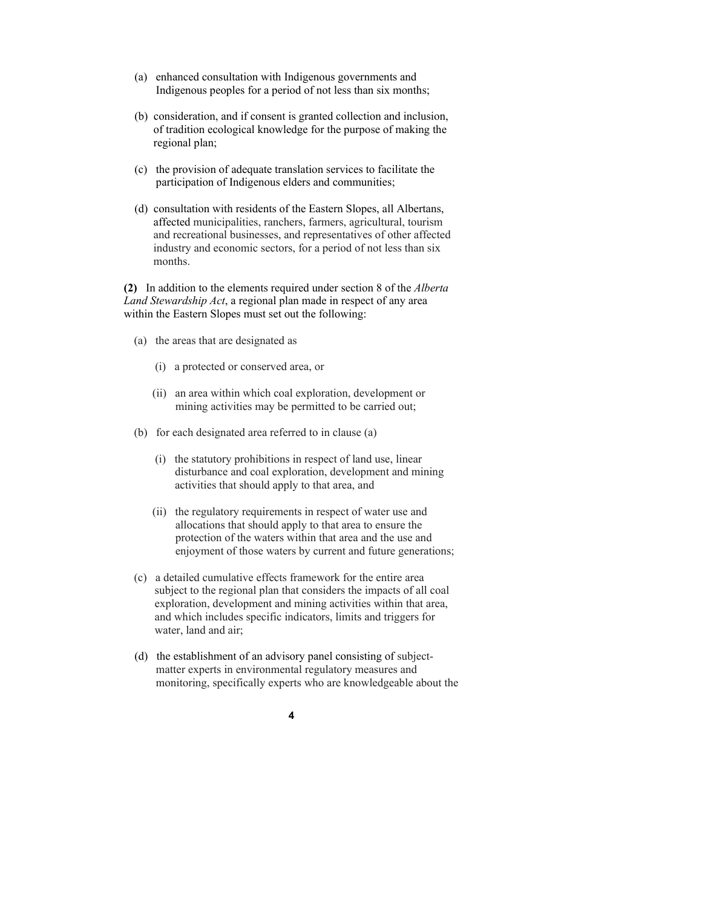- (a) enhanced consultation with Indigenous governments and Indigenous peoples for a period of not less than six months;
- (b) consideration, and if consent is granted collection and inclusion, of tradition ecological knowledge for the purpose of making the regional plan;
- (c) the provision of adequate translation services to facilitate the participation of Indigenous elders and communities;
- (d) consultation with residents of the Eastern Slopes, all Albertans, affected municipalities, ranchers, farmers, agricultural, tourism and recreational businesses, and representatives of other affected industry and economic sectors, for a period of not less than six months.

**(2)** In addition to the elements required under section 8 of the *Alberta Land Stewardship Act*, a regional plan made in respect of any area within the Eastern Slopes must set out the following:

- (a) the areas that are designated as
	- (i) a protected or conserved area, or
	- (ii) an area within which coal exploration, development or mining activities may be permitted to be carried out;
- (b) for each designated area referred to in clause (a)
	- (i) the statutory prohibitions in respect of land use, linear disturbance and coal exploration, development and mining activities that should apply to that area, and
	- (ii) the regulatory requirements in respect of water use and allocations that should apply to that area to ensure the protection of the waters within that area and the use and enjoyment of those waters by current and future generations;
- (c) a detailed cumulative effects framework for the entire area subject to the regional plan that considers the impacts of all coal exploration, development and mining activities within that area, and which includes specific indicators, limits and triggers for water, land and air;
- (d) the establishment of an advisory panel consisting of subjectmatter experts in environmental regulatory measures and monitoring, specifically experts who are knowledgeable about the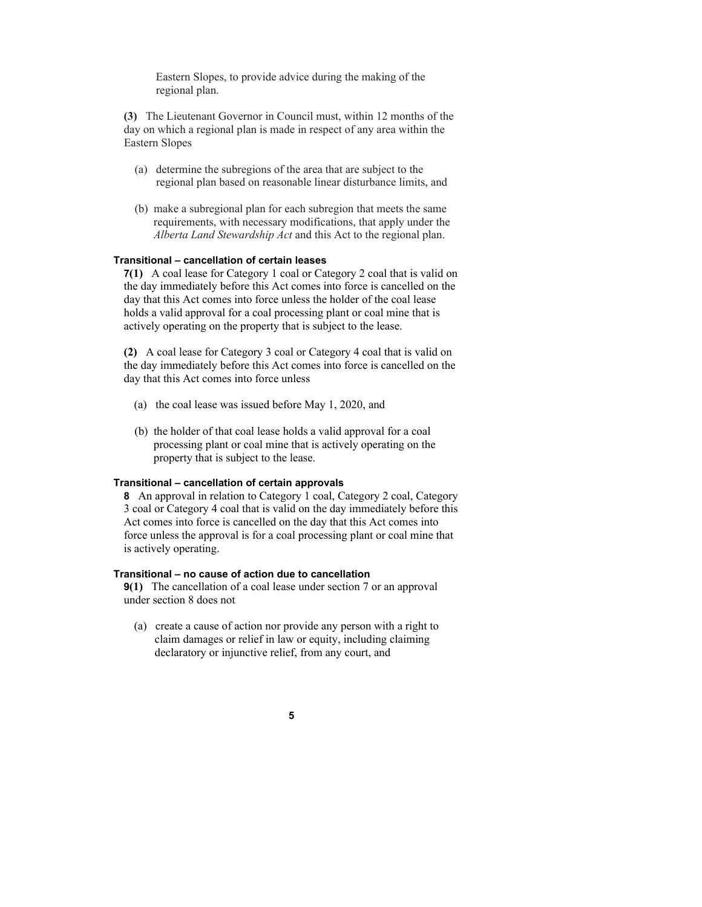Eastern Slopes, to provide advice during the making of the regional plan.

**(3)** The Lieutenant Governor in Council must, within 12 months of the day on which a regional plan is made in respect of any area within the Eastern Slopes

- (a) determine the subregions of the area that are subject to the regional plan based on reasonable linear disturbance limits, and
- (b) make a subregional plan for each subregion that meets the same requirements, with necessary modifications, that apply under the *Alberta Land Stewardship Act* and this Act to the regional plan.

#### **Transitional – cancellation of certain leases**

**7(1)** A coal lease for Category 1 coal or Category 2 coal that is valid on the day immediately before this Act comes into force is cancelled on the day that this Act comes into force unless the holder of the coal lease holds a valid approval for a coal processing plant or coal mine that is actively operating on the property that is subject to the lease.

**(2)** A coal lease for Category 3 coal or Category 4 coal that is valid on the day immediately before this Act comes into force is cancelled on the day that this Act comes into force unless

- (a) the coal lease was issued before May 1, 2020, and
- (b) the holder of that coal lease holds a valid approval for a coal processing plant or coal mine that is actively operating on the property that is subject to the lease.

#### **Transitional – cancellation of certain approvals**

**8** An approval in relation to Category 1 coal, Category 2 coal, Category 3 coal or Category 4 coal that is valid on the day immediately before this Act comes into force is cancelled on the day that this Act comes into force unless the approval is for a coal processing plant or coal mine that is actively operating.

#### **Transitional – no cause of action due to cancellation**

**9(1)** The cancellation of a coal lease under section 7 or an approval under section 8 does not

(a) create a cause of action nor provide any person with a right to claim damages or relief in law or equity, including claiming declaratory or injunctive relief, from any court, and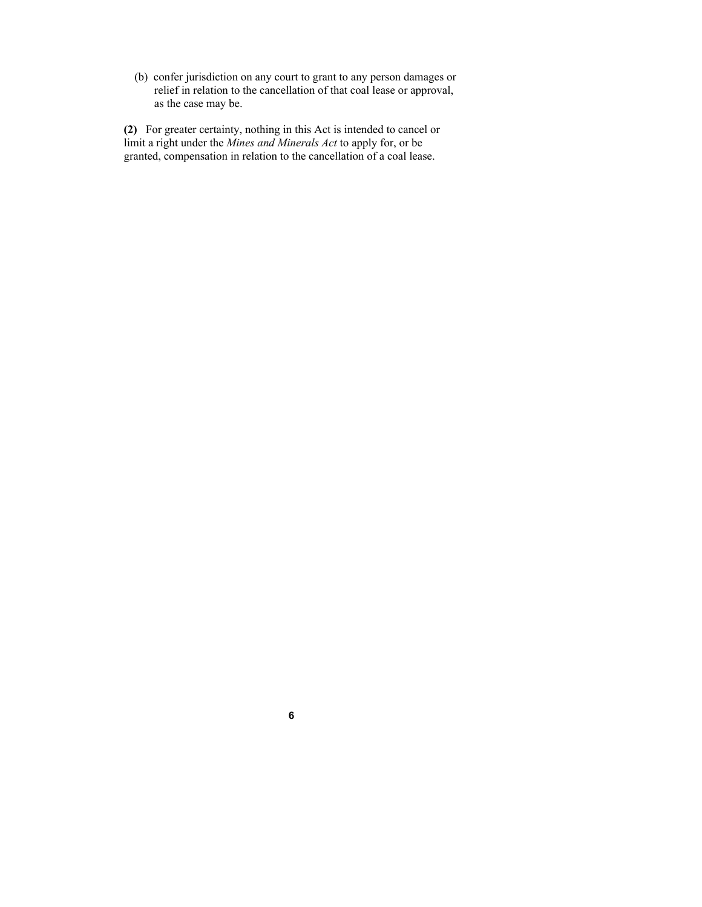(b) confer jurisdiction on any court to grant to any person damages or relief in relation to the cancellation of that coal lease or approval, as the case may be.

**(2)** For greater certainty, nothing in this Act is intended to cancel or limit a right under the *Mines and Minerals Act* to apply for, or be granted, compensation in relation to the cancellation of a coal lease.